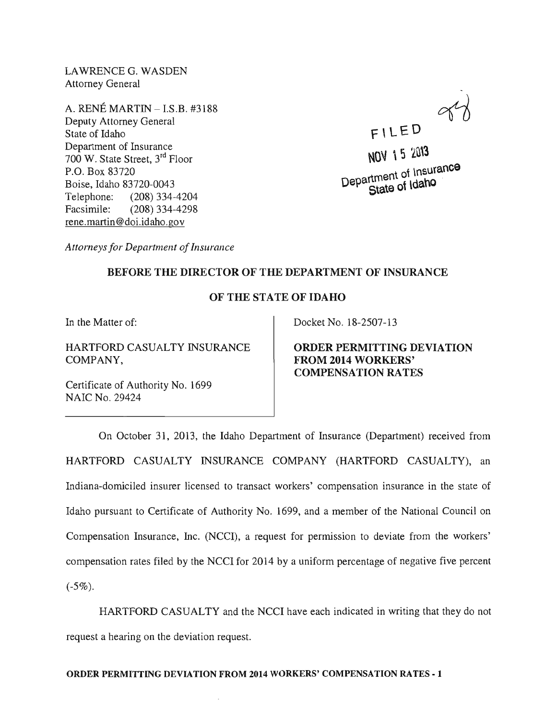LAWRENCEG. WASDEN Attorney General

A. RENE MARTIN - I.S.B. #3188 Deputy Attorney General State of Idaho Department of Insurance 700 W. State Street, 3rd Floor P.o. Box 83720 Boise, Idaho 83720-0043 Telephone: (208) 334-4204 Facsimile: (208) 334-4298 rene.martin @doi.idaho.gov

 $FILED$ NOV 15 2013

nt of Insurance Department of Irisum

*Attorneys for Department of Insurance* 

## BEFORE THE DIRECTOR OF THE DEPARTMENT OF INSURANCE

## OF THE STATE OF IDAHO

In the Matter of:

HARTFORD CASUALTY INSURANCE COMPANY,

Certificate of Authority No. 1699 NAIC No. 29424

Docket No. 18-2507-13

ORDER PERMITTING DEVIATION FROM 2014 WORKERS' COMPENSATION RATES

On October 31, 2013, the Idaho Department of Insurance (Department) received from HARTFORD CASUALTY INSURANCE COMPANY (HARTFORD CASUALTY), an Indiana-domiciled insurer licensed to transact workers' compensation insurance in the state of Idaho pursuant to Certificate of Authority No. 1699, and a member of the National Council on Compensation Insurance, Inc. (NCCI), a request for permission to deviate from the workers' compensation rates filed by the NCCI for 2014 by a uniform percentage of negative five percent  $(-5\%)$ .

HARTFORD CASUALTY and the NCCI have each indicated in writing that they do not request a hearing on the deviation request.

## ORDER PERMITTING DEVIATION FROM 2014 WORKERS' COMPENSATION RATES-l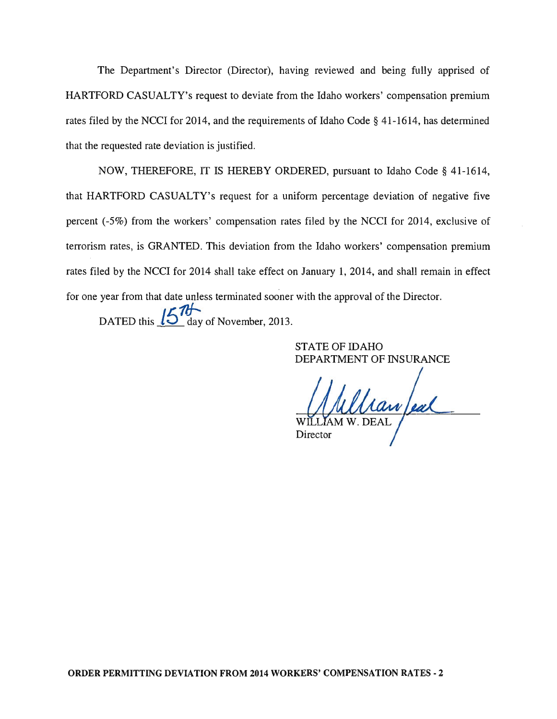The Department's Director (Director), having reviewed and being fully apprised of HARTFORD CASUALTY's request to deviate from the Idaho workers' compensation premium rates filed by the NCCI for 2014, and the requirements of Idaho Code § 41-1614, has determined that the requested rate deviation is justified.

NOW, THEREFORE, IT IS HEREBY ORDERED, pursuant to Idaho Code § 41-1614, that HARTFORD CASUALTY's request for a uniform percentage deviation of negative five percent (-5%) from the workers' compensation rates filed by the NCCI for 2014, exclusive of terrorism rates, is GRANTED. This deviation from the Idaho workers' compensation premium rates filed by the NCCI for 2014 shall take effect on January 1, 2014, and shall remain in effect for one year from that date unless terminated sooner with the approval of the Director.

DATED this  $15\degree$  day of November, 2013.

STATE OF IDAHO DEPARTMENT OF INSURANCE

Van Jeal Director